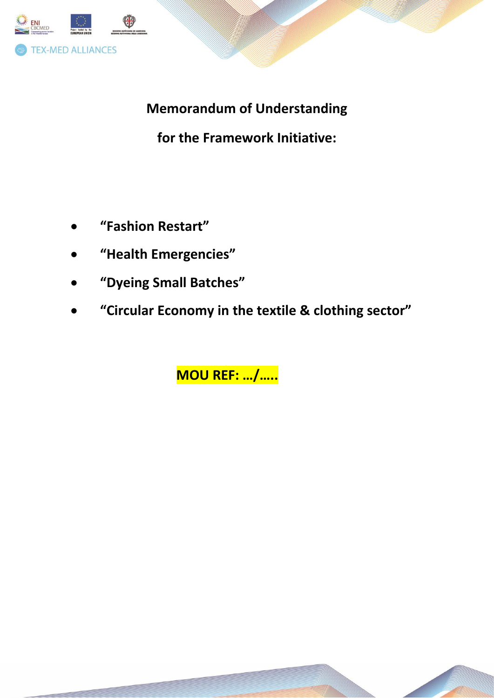

**Memorandum of Understanding** 

for the Framework Initiative:

- "Fashion Restart"
- "Health Emergencies"
- "Dyeing Small Batches"
- "Circular Economy in the textile & clothing sector"

**MOU REF: .../.....**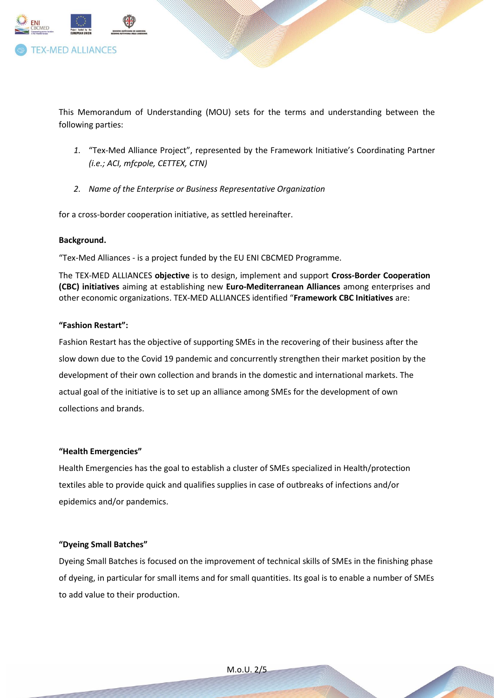

This Memorandum of Understanding (MOU) sets for the terms and understanding between the following parties:

- *1.* "Tex-Med Alliance Project", represented by the Framework Initiative's Coordinating Partner *(i.e.; ACI, mfcpole, CETTEX, CTN)*
- *2. Name of the Enterprise or Business Representative Organization*

for a cross-border cooperation initiative, as settled hereinafter.

#### **Background.**

"Tex-Med Alliances - is a project funded by the EU ENI CBCMED Programme.

The TEX-MED ALLIANCES **objective** is to design, implement and support **Cross-Border Cooperation (CBC) initiatives** aiming at establishing new **Euro-Mediterranean Alliances** among enterprises and other economic organizations. TEX-MED ALLIANCES identified "**Framework CBC Initiatives** are:

# **"Fashion Restart":**

Fashion Restart has the objective of supporting SMEs in the recovering of their business after the slow down due to the Covid 19 pandemic and concurrently strengthen their market position by the development of their own collection and brands in the domestic and international markets. The actual goal of the initiative is to set up an alliance among SMEs for the development of own collections and brands.

# **"Health Emergencies"**

Health Emergencies has the goal to establish a cluster of SMEs specialized in Health/protection textiles able to provide quick and qualifies supplies in case of outbreaks of infections and/or epidemics and/or pandemics.

# **"Dyeing Small Batches"**

Dyeing Small Batches is focused on the improvement of technical skills of SMEs in the finishing phase of dyeing, in particular for small items and for small quantities. Its goal is to enable a number of SMEs to add value to their production.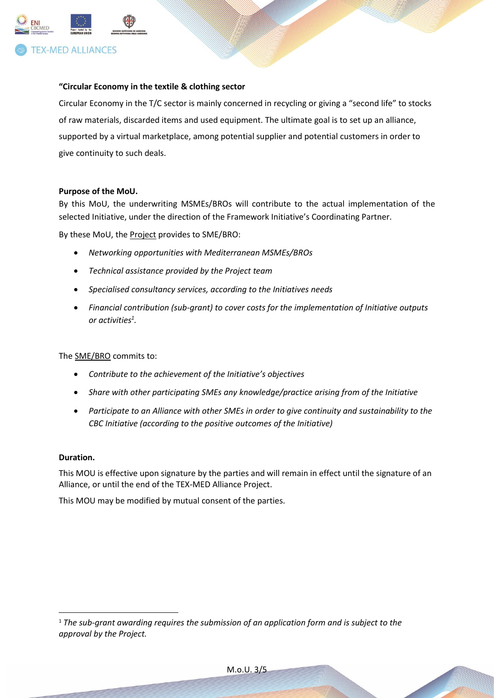

# **"Circular Economy in the textile & clothing sector**

Circular Economy in the T/C sector is mainly concerned in recycling or giving a "second life" to stocks of raw materials, discarded items and used equipment. The ultimate goal is to set up an alliance, supported by a virtual marketplace, among potential supplier and potential customers in order to give continuity to such deals.

#### **Purpose of the MoU.**

By this MoU, the underwriting MSMEs/BROs will contribute to the actual implementation of the selected Initiative, under the direction of the Framework Initiative's Coordinating Partner.

By these MoU, the Project provides to SME/BRO:

- *Networking opportunities with Mediterranean MSMEs/BROs*
- *Technical assistance provided by the Project team*
- *Specialised consultancy services, according to the Initiatives needs*
- *Financial contribution (sub-grant) to cover costs for the implementation of Initiative outputs or activities<sup>1</sup> .*

The SME/BRO commits to:

- *Contribute to the achievement of the Initiative's objectives*
- *Share with other participating SMEs any knowledge/practice arising from of the Initiative*
- *Participate to an Alliance with other SMEs in order to give continuity and sustainability to the CBC Initiative (according to the positive outcomes of the Initiative)*

# **Duration.**

This MOU is effective upon signature by the parties and will remain in effect until the signature of an Alliance, or until the end of the TEX-MED Alliance Project.

This MOU may be modified by mutual consent of the parties.

M.o.U. 3/5

<sup>1</sup> *The sub-grant awarding requires the submission of an application form and is subject to the approval by the Project.*